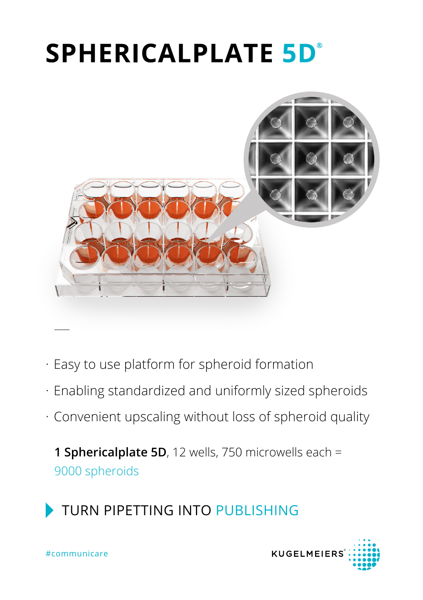# **SPHERICALPLATE 5D°**



- · Easy to use platform for spheroid formation
- · Enabling standardized and uniformly sized spheroids
- · Convenient upscaling without loss of spheroid quality

**1 Sphericalplate 5D**, 12 wells, 750 microwells each = 9000 spheroids



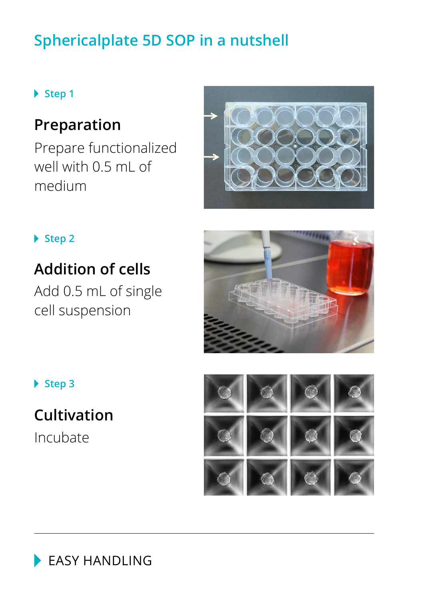# **Sphericalplate 5D SOP in a nutshell**

### **Step 1**

## **Preparation**

Prepare functionalized well with 0.5 mL of medium



### **Step 2**

### **Addition of cells**

Add 0.5 mL of single cell suspension



▶ Step 3

Incubate **Cultivation**



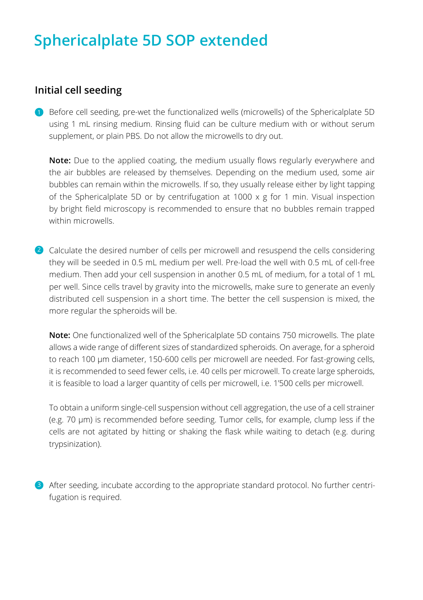### **Sphericalplate 5D SOP extended**

#### **Initial cell seeding**

**D** Before cell seeding, pre-wet the functionalized wells (microwells) of the Sphericalplate 5D using 1 mL rinsing medium. Rinsing fluid can be culture medium with or without serum supplement, or plain PBS. Do not allow the microwells to dry out.

**Note:** Due to the applied coating, the medium usually flows regularly everywhere and the air bubbles are released by themselves. Depending on the medium used, some air bubbles can remain within the microwells. If so, they usually release either by light tapping of the Sphericalplate 5D or by centrifugation at 1000  $\times$  g for 1 min. Visual inspection by bright field microscopy is recommended to ensure that no bubbles remain trapped within microwells.

2 Calculate the desired number of cells per microwell and resuspend the cells considering they will be seeded in 0.5 mL medium per well. Pre-load the well with 0.5 mL of cell-free medium. Then add your cell suspension in another 0.5 mL of medium, for a total of 1 mL per well. Since cells travel by gravity into the microwells, make sure to generate an evenly distributed cell suspension in a short time. The better the cell suspension is mixed, the more regular the spheroids will be.

**Note:** One functionalized well of the Sphericalplate 5D contains 750 microwells. The plate allows a wide range of different sizes of standardized spheroids. On average, for a spheroid to reach 100 µm diameter, 150-600 cells per microwell are needed. For fast-growing cells, it is recommended to seed fewer cells, i.e. 40 cells per microwell. To create large spheroids, it is feasible to load a larger quantity of cells per microwell, i.e. 1'500 cells per microwell.

To obtain a uniform single-cell suspension without cell aggregation, the use of a cell strainer (e.g. 70 µm) is recommended before seeding. Tumor cells, for example, clump less if the cells are not agitated by hitting or shaking the flask while waiting to detach (e.g. during trypsinization).

**3** After seeding, incubate according to the appropriate standard protocol. No further centrifugation is required.